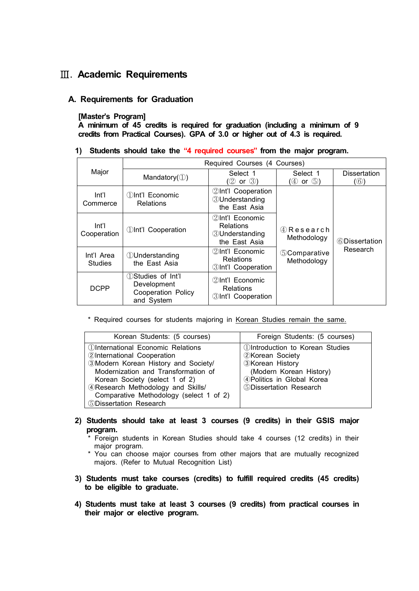# Ⅲ**. Academic Requirements**

## **A. Requirements for Graduation**

### **[Master's Program]**

**A minimum of 45 credits is required for graduation (including a minimum of 9 credits from Practical Courses). GPA of 3.0 or higher out of 4.3 is required.**

#### **1) Students should take the "4 required courses" from the major program.**

| Major                        | Required Courses (4 Courses)                                                        |                                                                         |                                                                        |                            |
|------------------------------|-------------------------------------------------------------------------------------|-------------------------------------------------------------------------|------------------------------------------------------------------------|----------------------------|
|                              | Mandatory $(\mathbb{O})$                                                            | Select 1<br>(2 or 3)                                                    | Select 1<br>$(\oplus$ or $\oplus$ )                                    | <b>Dissertation</b><br>(6) |
| Int'l<br>Commerce            | 11nt'l Economic<br><b>Relations</b>                                                 | 2Int'l Cooperation<br><b>3</b> Understanding<br>the East Asia           | 4 Research<br>Methodology<br><b><i>SComparative</i></b><br>Methodology | 6Dissertation              |
| Int'l<br>Cooperation         | <b><i>Olnt'l Cooperation</i></b>                                                    | ②Int'l Economic<br>Relations<br><b>3</b> Understanding<br>the East Asia |                                                                        |                            |
| Int'l Area<br><b>Studies</b> | <b>U</b> nderstanding<br>the East Asia                                              | 2Int'l Economic<br>Relations<br><b>3Int'l Cooperation</b>               |                                                                        | Research                   |
| <b>DCPP</b>                  | <b>D</b> Studies of Int'l<br>Development<br><b>Cooperation Policy</b><br>and System | 2Int'l Economic<br><b>Relations</b><br>3Int'l Cooperation               |                                                                        |                            |

\* Required courses for students majoring in Korean Studies remain the same.

| Korean Students: (5 courses)                    | Foreign Students: (5 courses)                 |  |
|-------------------------------------------------|-----------------------------------------------|--|
| <b><i>OInternational Economic Relations</i></b> | <b><i>DIntroduction to Korean Studies</i></b> |  |
| 2International Cooperation                      | <b>2Korean Society</b>                        |  |
| 3Modern Korean History and Society/             | <b>3Korean History</b>                        |  |
| Modernization and Transformation of             | (Modern Korean History)                       |  |
| Korean Society (select 1 of 2)                  | 4 Politics in Global Korea                    |  |
| 4 Research Methodology and Skills/              | 5Dissertation Research                        |  |
| Comparative Methodology (select 1 of 2)         |                                               |  |
| <b>5Dissertation Research</b>                   |                                               |  |

- **2) Students should take at least 3 courses (9 credits) in their GSIS major program.** 
	- \* Foreign students in Korean Studies should take 4 courses (12 credits) in their major program.
	- \* You can choose major courses from other majors that are mutually recognized majors. (Refer to Mutual Recognition List)
- **3) Students must take courses (credits) to fulfill required credits (45 credits) to be eligible to graduate.**
- **4) Students must take at least 3 courses (9 credits) from practical courses in their major or elective program.**